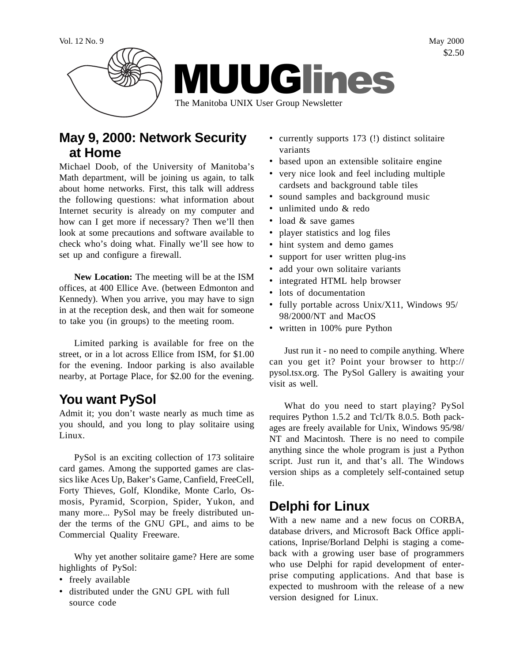

## **May 9, 2000: Network Security at Home**

Michael Doob, of the University of Manitoba's Math department, will be joining us again, to talk about home networks. First, this talk will address the following questions: what information about Internet security is already on my computer and how can I get more if necessary? Then we'll then look at some precautions and software available to check who's doing what. Finally we'll see how to set up and configure a firewall.

**New Location:** The meeting will be at the ISM offices, at 400 Ellice Ave. (between Edmonton and Kennedy). When you arrive, you may have to sign in at the reception desk, and then wait for someone to take you (in groups) to the meeting room.

Limited parking is available for free on the street, or in a lot across Ellice from ISM, for \$1.00 for the evening. Indoor parking is also available nearby, at Portage Place, for \$2.00 for the evening.

# **You want PySol**

Admit it; you don't waste nearly as much time as you should, and you long to play solitaire using Linux.

PySol is an exciting collection of 173 solitaire card games. Among the supported games are classics like Aces Up, Baker's Game, Canfield, FreeCell, Forty Thieves, Golf, Klondike, Monte Carlo, Osmosis, Pyramid, Scorpion, Spider, Yukon, and many more... PySol may be freely distributed under the terms of the GNU GPL, and aims to be Commercial Quality Freeware.

Why yet another solitaire game? Here are some highlights of PySol:

- freely available
- distributed under the GNU GPL with full source code
- currently supports 173 (!) distinct solitaire variants
- based upon an extensible solitaire engine
- very nice look and feel including multiple cardsets and background table tiles
- sound samples and background music
- unlimited undo & redo
- load & save games
- player statistics and log files
- hint system and demo games
- support for user written plug-ins
- add your own solitaire variants
- integrated HTML help browser
- lots of documentation
- fully portable across Unix/X11, Windows 95/ 98/2000/NT and MacOS
- written in 100% pure Python

Just run it - no need to compile anything. Where can you get it? Point your browser to http:// pysol.tsx.org. The PySol Gallery is awaiting your visit as well.

What do you need to start playing? PySol requires Python 1.5.2 and Tcl/Tk 8.0.5. Both packages are freely available for Unix, Windows 95/98/ NT and Macintosh. There is no need to compile anything since the whole program is just a Python script. Just run it, and that's all. The Windows version ships as a completely self-contained setup file.

# **Delphi for Linux**

With a new name and a new focus on CORBA, database drivers, and Microsoft Back Office applications, Inprise/Borland Delphi is staging a comeback with a growing user base of programmers who use Delphi for rapid development of enterprise computing applications. And that base is expected to mushroom with the release of a new version designed for Linux.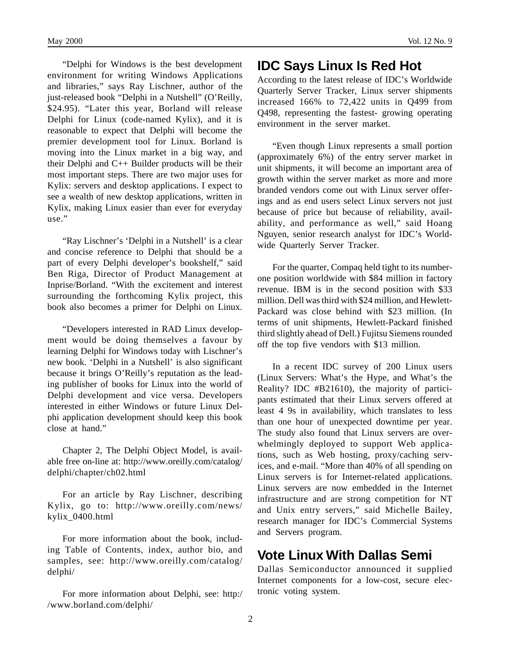"Delphi for Windows is the best development environment for writing Windows Applications and libraries," says Ray Lischner, author of the just-released book "Delphi in a Nutshell" (O'Reilly, \$24.95). "Later this year, Borland will release Delphi for Linux (code-named Kylix), and it is reasonable to expect that Delphi will become the premier development tool for Linux. Borland is moving into the Linux market in a big way, and their Delphi and C++ Builder products will be their most important steps. There are two major uses for Kylix: servers and desktop applications. I expect to see a wealth of new desktop applications, written in Kylix, making Linux easier than ever for everyday use."

"Ray Lischner's 'Delphi in a Nutshell' is a clear and concise reference to Delphi that should be a part of every Delphi developer's bookshelf," said Ben Riga, Director of Product Management at Inprise/Borland. "With the excitement and interest surrounding the forthcoming Kylix project, this book also becomes a primer for Delphi on Linux.

"Developers interested in RAD Linux development would be doing themselves a favour by learning Delphi for Windows today with Lischner's new book. 'Delphi in a Nutshell' is also significant because it brings O'Reilly's reputation as the leading publisher of books for Linux into the world of Delphi development and vice versa. Developers interested in either Windows or future Linux Delphi application development should keep this book close at hand."

Chapter 2, The Delphi Object Model, is available free on-line at: http://www.oreilly.com/catalog/ delphi/chapter/ch02.html

For an article by Ray Lischner, describing Kylix, go to: http://www.oreilly.com/news/ kylix\_0400.html

For more information about the book, including Table of Contents, index, author bio, and samples, see: http://www.oreilly.com/catalog/ delphi/

For more information about Delphi, see: http:/ /www.borland.com/delphi/

#### **IDC Says Linux Is Red Hot**

According to the latest release of IDC's Worldwide Quarterly Server Tracker, Linux server shipments increased 166% to 72,422 units in Q499 from Q498, representing the fastest- growing operating environment in the server market.

"Even though Linux represents a small portion (approximately 6%) of the entry server market in unit shipments, it will become an important area of growth within the server market as more and more branded vendors come out with Linux server offerings and as end users select Linux servers not just because of price but because of reliability, availability, and performance as well," said Hoang Nguyen, senior research analyst for IDC's Worldwide Quarterly Server Tracker.

For the quarter, Compaq held tight to its numberone position worldwide with \$84 million in factory revenue. IBM is in the second position with \$33 million. Dell was third with \$24 million, and Hewlett-Packard was close behind with \$23 million. (In terms of unit shipments, Hewlett-Packard finished third slightly ahead of Dell.) Fujitsu Siemens rounded off the top five vendors with \$13 million.

In a recent IDC survey of 200 Linux users (Linux Servers: What's the Hype, and What's the Reality? IDC #B21610), the majority of participants estimated that their Linux servers offered at least 4 9s in availability, which translates to less than one hour of unexpected downtime per year. The study also found that Linux servers are overwhelmingly deployed to support Web applications, such as Web hosting, proxy/caching services, and e-mail. "More than 40% of all spending on Linux servers is for Internet-related applications. Linux servers are now embedded in the Internet infrastructure and are strong competition for NT and Unix entry servers," said Michelle Bailey, research manager for IDC's Commercial Systems and Servers program.

### **Vote Linux With Dallas Semi**

Dallas Semiconductor announced it supplied Internet components for a low-cost, secure electronic voting system.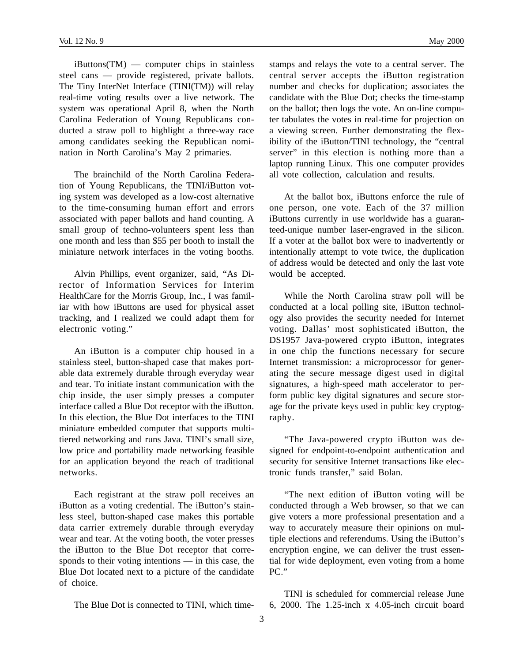iButtons(TM) — computer chips in stainless steel cans — provide registered, private ballots. The Tiny InterNet Interface (TINI(TM)) will relay real-time voting results over a live network. The system was operational April 8, when the North Carolina Federation of Young Republicans conducted a straw poll to highlight a three-way race among candidates seeking the Republican nomination in North Carolina's May 2 primaries.

The brainchild of the North Carolina Federation of Young Republicans, the TINI/iButton voting system was developed as a low-cost alternative to the time-consuming human effort and errors associated with paper ballots and hand counting. A small group of techno-volunteers spent less than one month and less than \$55 per booth to install the miniature network interfaces in the voting booths.

Alvin Phillips, event organizer, said, "As Director of Information Services for Interim HealthCare for the Morris Group, Inc., I was familiar with how iButtons are used for physical asset tracking, and I realized we could adapt them for electronic voting."

An iButton is a computer chip housed in a stainless steel, button-shaped case that makes portable data extremely durable through everyday wear and tear. To initiate instant communication with the chip inside, the user simply presses a computer interface called a Blue Dot receptor with the iButton. In this election, the Blue Dot interfaces to the TINI miniature embedded computer that supports multitiered networking and runs Java. TINI's small size, low price and portability made networking feasible for an application beyond the reach of traditional networks.

Each registrant at the straw poll receives an iButton as a voting credential. The iButton's stainless steel, button-shaped case makes this portable data carrier extremely durable through everyday wear and tear. At the voting booth, the voter presses the iButton to the Blue Dot receptor that corresponds to their voting intentions — in this case, the Blue Dot located next to a picture of the candidate of choice.

The Blue Dot is connected to TINI, which time-

stamps and relays the vote to a central server. The central server accepts the iButton registration number and checks for duplication; associates the candidate with the Blue Dot; checks the time-stamp on the ballot; then logs the vote. An on-line computer tabulates the votes in real-time for projection on a viewing screen. Further demonstrating the flexibility of the iButton/TINI technology, the "central server" in this election is nothing more than a laptop running Linux. This one computer provides all vote collection, calculation and results.

At the ballot box, iButtons enforce the rule of one person, one vote. Each of the 37 million iButtons currently in use worldwide has a guaranteed-unique number laser-engraved in the silicon. If a voter at the ballot box were to inadvertently or intentionally attempt to vote twice, the duplication of address would be detected and only the last vote would be accepted.

While the North Carolina straw poll will be conducted at a local polling site, iButton technology also provides the security needed for Internet voting. Dallas' most sophisticated iButton, the DS1957 Java-powered crypto iButton, integrates in one chip the functions necessary for secure Internet transmission: a microprocessor for generating the secure message digest used in digital signatures, a high-speed math accelerator to perform public key digital signatures and secure storage for the private keys used in public key cryptography.

"The Java-powered crypto iButton was designed for endpoint-to-endpoint authentication and security for sensitive Internet transactions like electronic funds transfer," said Bolan.

"The next edition of iButton voting will be conducted through a Web browser, so that we can give voters a more professional presentation and a way to accurately measure their opinions on multiple elections and referendums. Using the iButton's encryption engine, we can deliver the trust essential for wide deployment, even voting from a home PC"

TINI is scheduled for commercial release June 6, 2000. The 1.25-inch x 4.05-inch circuit board